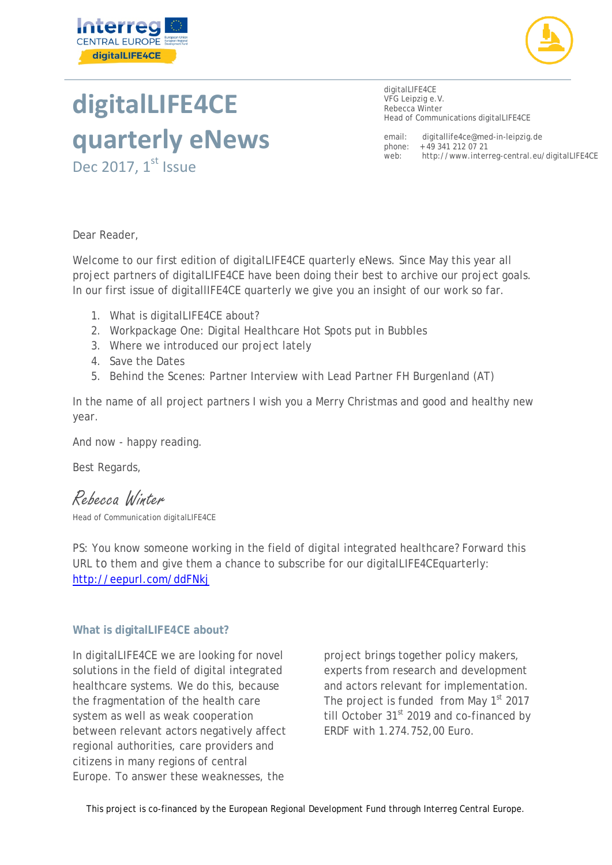



# **digitalLIFE4CE quarterly eNews**

Dec 2017,  $1<sup>st</sup>$  Issue

digitalLIFE4CE VFG Leipzig e.V. Rebecca Winter Head of Communications digitalLIFE4CE

email: [digitallife4ce@med-in-leipzig.de](mailto:digitallife4ce@med-in-leipzig.de) phone: +49 341 212 07 21<br>web: http://www.inter <http://www.interreg-central.eu/digitalLIFE4CE>

Dear Reader,

Welcome to our first edition of digitalLIFE4CE quarterly eNews. Since May this year all project partners of digitalLIFE4CE have been doing their best to archive our project goals. In our first issue of digitallIFE4CE quarterly we give you an insight of our work so far.

- 1. What is digitalLIFE4CE about?
- 2. Workpackage One: Digital Healthcare Hot Spots put in Bubbles
- 3. Where we introduced our project lately
- 4. Save the Dates
- 5. Behind the Scenes: Partner Interview with Lead Partner FH Burgenland (AT)

In the name of all project partners I wish you a Merry Christmas and good and healthy new year.

And now - happy reading.

Best Regards,

Rebecca Winter Head of Communication digitalLIFE4CE

PS: You know someone working in the field of digital integrated healthcare? Forward this URL to them and give them a chance to subscribe for our digitalLIFE4CEquarterly: <http://eepurl.com/ddFNkj>

# **What is digitalLIFE4CE about?**

In digitalLIFE4CE we are looking for novel solutions in the field of digital integrated healthcare systems. We do this, because the fragmentation of the health care system as well as weak cooperation between relevant actors negatively affect regional authorities, care providers and citizens in many regions of central Europe. To answer these weaknesses, the

project brings together policy makers, experts from research and development and actors relevant for implementation. The project is funded from May  $1<sup>st</sup>$  2017 till October  $31<sup>st</sup>$  2019 and co-financed by ERDF with 1.274.752,00 Euro.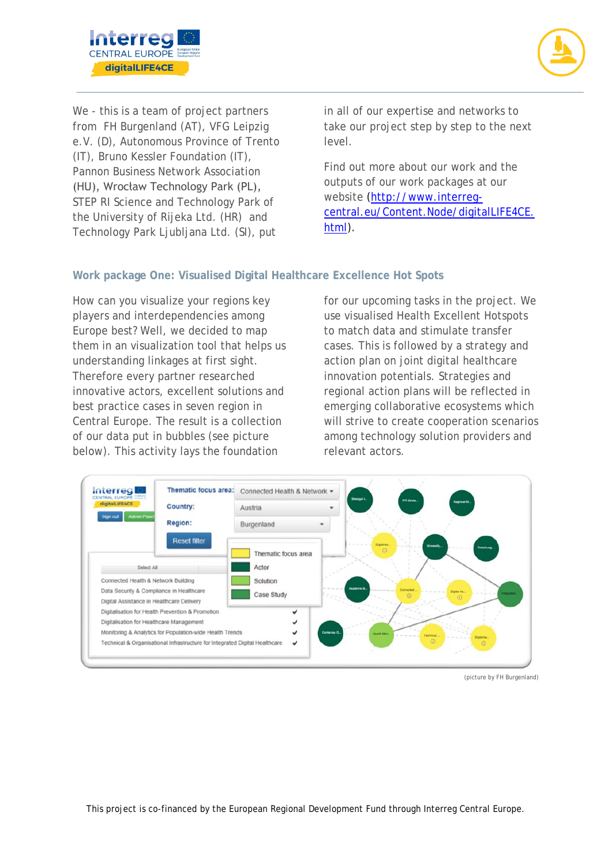



We - this is a team of project partners from FH Burgenland (AT), VFG Leipzig e.V. (D), Autonomous Province of Trento (IT), Bruno Kessler Foundation (IT), Pannon Business Network Association (HU), Wrocław Technology Park (PL), STEP RI Science and Technology Park of the University of Rijeka Ltd. (HR) and Technology Park Ljubljana Ltd. (SI), put

in all of our expertise and networks to take our project step by step to the next level.

Find out more about our work and the outputs of our work packages at our website [\(http://www.interreg](http://www.interreg-central.eu/Content.Node/digitalLIFE4CE.html)[central.eu/Content.Node/digitalLIFE4CE.](http://www.interreg-central.eu/Content.Node/digitalLIFE4CE.html) [html\)](http://www.interreg-central.eu/Content.Node/digitalLIFE4CE.html).

# **Work package One: Visualised Digital Healthcare Excellence Hot Spots**

How can you visualize your regions key players and interdependencies among Europe best? Well, we decided to map them in an visualization tool that helps us understanding linkages at first sight. Therefore every partner researched innovative actors, excellent solutions and best practice cases in seven region in Central Europe. The result is a collection of our data put in bubbles (see picture below). This activity lays the foundation

for our upcoming tasks in the project. We use visualised Health Excellent Hotspots to match data and stimulate transfer cases. This is followed by a strategy and action plan on joint digital healthcare innovation potentials. Strategies and regional action plans will be reflected in emerging collaborative ecosystems which will strive to create cooperation scenarios among technology solution providers and relevant actors.



(picture by FH Burgenland)